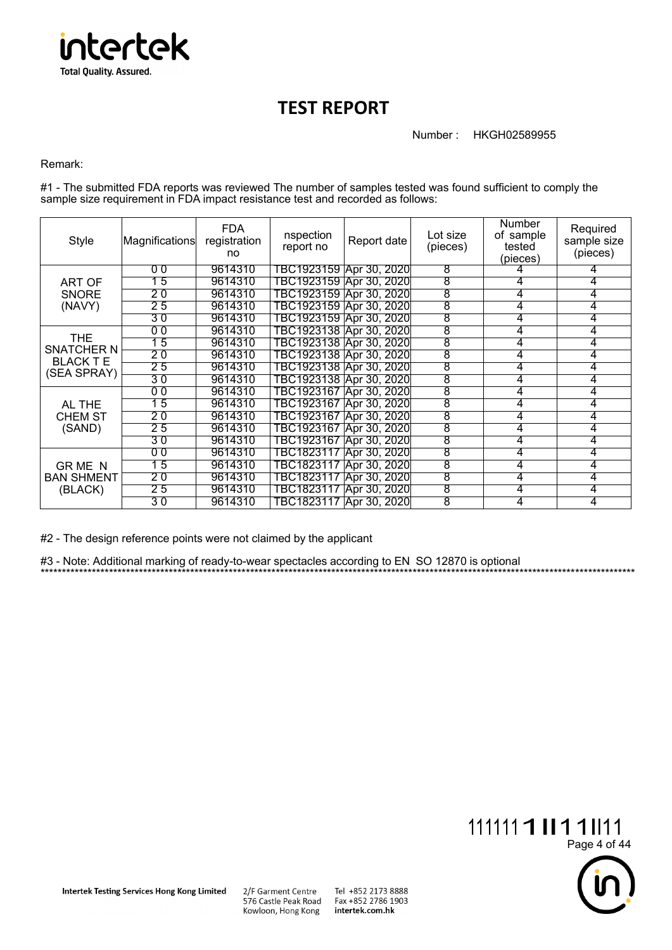

## **TEST REPORT**

Number : HKGH02589955

Remark:

#1 - The submitted FDA reports was reviewed The number of samples tested was found sufficient to comply the sample size requirement in FDA impact resistance test and recorded as follows:

| Style                                                              | Magnifications | FDA.<br>registration<br>no | nspection<br>report no    | Report date              | Lot size<br>(pieces) | <b>Number</b><br>of sample<br>tested<br>(pieces) | Required<br>sample size<br>(pieces) |
|--------------------------------------------------------------------|----------------|----------------------------|---------------------------|--------------------------|----------------------|--------------------------------------------------|-------------------------------------|
| ART OF<br><b>SNORE</b><br>(NAVY)                                   | 00             | 9614310                    | TBC1923159  Apr 30, 2020  |                          | 8                    |                                                  | 4                                   |
|                                                                    | 15             | 9614310                    | TBC1923159  Apr 30, 2020  |                          | 8                    | 4                                                | 4                                   |
|                                                                    | 20             | 9614310                    | TBC1923159   Apr 30, 2020 |                          | 8                    | 4                                                | 4                                   |
|                                                                    | 25             | 9614310                    | TBC1923159 Apr 30, 2020   |                          | 8                    | 4                                                | 4                                   |
|                                                                    | 30             | 9614310                    | TBC1923159 Apr 30, 2020   |                          | 8                    | 4                                                | 4                                   |
| <b>THE</b><br><b>SNATCHER N</b><br><b>BLACK T E</b><br>(SEA SPRAY) | 0 <sub>0</sub> | 9614310                    | TBC1923138  Apr 30, 2020  |                          | 8                    | 4                                                | 4                                   |
|                                                                    | 15             | 9614310                    | TBC1923138  Apr 30, 2020  |                          | 8                    | 4                                                | 4                                   |
|                                                                    | 20             | 9614310                    | TBC1923138 Apr 30, 2020   |                          | 8                    | 4                                                | 4                                   |
|                                                                    | 25             | 9614310                    | TBC1923138  Apr 30, 2020  |                          | $\overline{8}$       | 4                                                | 4                                   |
|                                                                    | 30             | 9614310                    | TBC1923138  Apr 30, 2020  |                          | 8                    | 4                                                | 4                                   |
| AL THE<br><b>CHEM ST</b><br>(SAND)                                 | 00             | 9614310                    | TBC1923167  Apr 30, 2020  |                          | 8                    | 4                                                | 4                                   |
|                                                                    | 15             | 9614310                    | TBC1923167  Apr 30, 2020  |                          | 8                    | 4                                                | 4                                   |
|                                                                    | 20             | 9614310                    | TBC1923167  Apr 30, 2020  |                          | 8                    | 4                                                | 4                                   |
|                                                                    | 25             | 9614310                    | TBC1923167   Apr 30, 2020 |                          | 8                    | 4                                                | 4                                   |
|                                                                    | 30             | 9614310                    | TBC1923167   Apr 30, 2020 |                          | 8                    | 4                                                | 4                                   |
| <b>GRMEN</b><br><b>BAN SHMENT</b><br>(BLACK)                       | 00             | 9614310                    | TBC1823117 Apr 30, 2020   |                          | 8                    | 4                                                |                                     |
|                                                                    | 15             | 9614310                    | TBC1823117  Apr 30, 2020  |                          | 8                    | 4                                                | 4                                   |
|                                                                    | 20             | 9614310                    |                           | TBC1823117  Apr 30, 2020 | 8                    | 4                                                | 4                                   |
|                                                                    | 25             | 9614310                    | TBC1823117 Apr 30, 2020   |                          | 8                    | 4                                                | 4                                   |
|                                                                    | 30             | 9614310                    | TBC1823117   Apr 30, 2020 |                          | 8                    | 4                                                | 4                                   |

\*\*\*\*\*\*\*\*\*\*\*\*\*\*\*\*\*\*\*\*\*\*\*\*\*\*\*\*\*\*\*\*\*\*\*\*\*\*\*\*\*\*\*\*\*\*\*\*\*\*\*\*\*\*\*\*\*\*\*\*\*\*\*\*\*\*\*\*\*\*\*\*\*\*\*\*\*\*\*\*\*\*\*\*\*\*\*\*\*\*\*\*\*\*\*\*\*\*\*\*\*\*\*\*\*\*\*\*\*\*\*\*\*\*\*\*\*\*\*\*\*\*\*\*\*\*\*\*\*\*\*\*\*\*\*\*\*\*\*

#2 - The design reference points were not claimed by the applicant

#3 - Note: Additional marking of ready-to-wear spectacles according to EN SO 12870 is optional